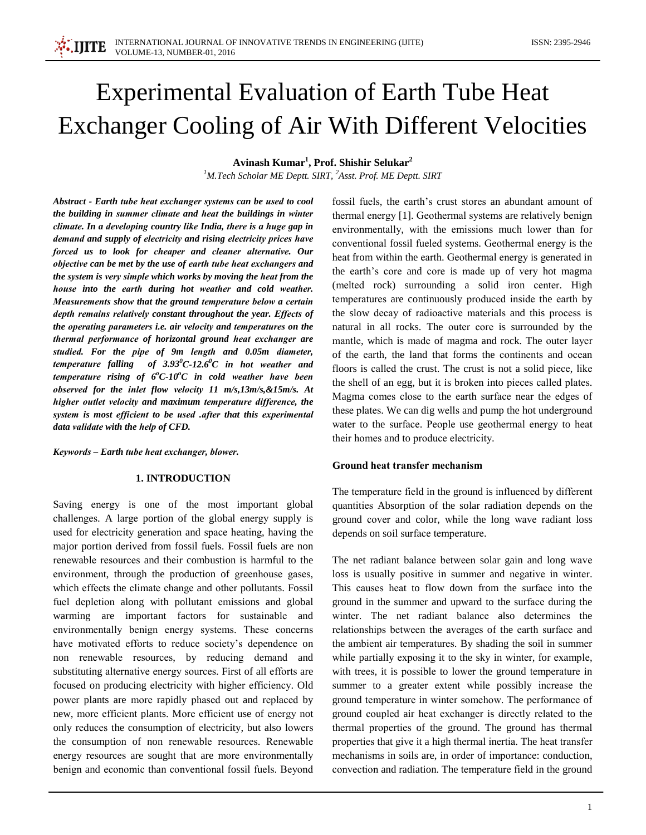# **Experimental Evaluation of Earth Tube Heat Exchanger Cooling of Air With Different Velocities**

Avinash Kumar<sup>1</sup>, Prof. Shishir Selukar<sup>2</sup>

<sup>1</sup>M.Tech Scholar ME Deptt. SIRT, <sup>2</sup>Asst. Prof. ME Deptt. SIRT

Abstract - Earth tube heat exchanger systems can be used to cool the building in summer climate and heat the buildings in winter climate. In a developing country like India, there is a huge gap in demand and supply of electricity and rising electricity prices have forced us to look for cheaper and cleaner alternative. Our objective can be met by the use of earth tube heat exchangers and the system is very simple which works by moving the heat from the house into the earth during hot weather and cold weather. Measurements show that the ground temperature below a certain depth remains relatively constant throughout the year. Effects of the operating parameters i.e. air velocity and temperatures on the thermal performance of horizontal ground heat exchanger are studied. For the pipe of 9m length and 0.05m diameter, temperature falling of  $3.93^0C$ -12.6<sup>0</sup>C in hot weather and temperature rising of  $6^{\circ}$ C-10 $^{\circ}$ C in cold weather have been observed for the inlet flow velocity 11 m/s,13m/s,&15m/s. At higher outlet velocity and maximum temperature difference, the system is most efficient to be used after that this experimental data validate with the help of CFD.

Keywords - Earth tube heat exchanger, blower.

#### **1. INTRODUCTION**

Saving energy is one of the most important global challenges. A large portion of the global energy supply is used for electricity generation and space heating, having the major portion derived from fossil fuels. Fossil fuels are non renewable resources and their combustion is harmful to the environment, through the production of greenhouse gases, which effects the climate change and other pollutants. Fossil fuel depletion along with pollutant emissions and global warming are important factors for sustainable and environmentally benign energy systems. These concerns have motivated efforts to reduce society's dependence on non renewable resources, by reducing demand and substituting alternative energy sources. First of all efforts are focused on producing electricity with higher efficiency. Old power plants are more rapidly phased out and replaced by new, more efficient plants. More efficient use of energy not only reduces the consumption of electricity, but also lowers the consumption of non renewable resources. Renewable energy resources are sought that are more environmentally benign and economic than conventional fossil fuels. Beyond

fossil fuels, the earth's crust stores an abundant amount of thermal energy [1]. Geothermal systems are relatively benign environmentally, with the emissions much lower than for conventional fossil fueled systems. Geothermal energy is the heat from within the earth. Geothermal energy is generated in the earth's core and core is made up of very hot magma (melted rock) surrounding a solid iron center. High temperatures are continuously produced inside the earth by the slow decay of radioactive materials and this process is natural in all rocks. The outer core is surrounded by the mantle, which is made of magma and rock. The outer layer of the earth, the land that forms the continents and ocean floors is called the crust. The crust is not a solid piece, like the shell of an egg, but it is broken into pieces called plates. Magma comes close to the earth surface near the edges of these plates. We can dig wells and pump the hot underground water to the surface. People use geothermal energy to heat their homes and to produce electricity.

#### Ground heat transfer mechanism

The temperature field in the ground is influenced by different quantities Absorption of the solar radiation depends on the ground cover and color, while the long wave radiant loss depends on soil surface temperature.

The net radiant balance between solar gain and long wave loss is usually positive in summer and negative in winter. This causes heat to flow down from the surface into the ground in the summer and upward to the surface during the winter. The net radiant balance also determines the relationships between the averages of the earth surface and the ambient air temperatures. By shading the soil in summer while partially exposing it to the sky in winter, for example, with trees, it is possible to lower the ground temperature in summer to a greater extent while possibly increase the ground temperature in winter somehow. The performance of ground coupled air heat exchanger is directly related to the thermal properties of the ground. The ground has thermal properties that give it a high thermal inertia. The heat transfer mechanisms in soils are, in order of importance: conduction, convection and radiation. The temperature field in the ground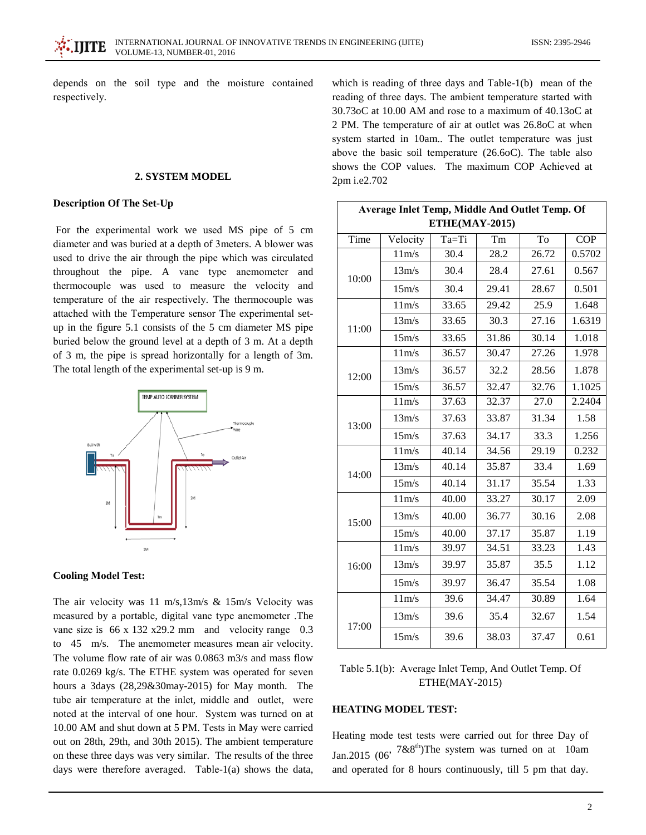depends on the soil type and the moisture contained respectively.

# 2. SYSTEM MODEL

#### **Description Of The Set-Up**

For the experimental work we used MS pipe of 5 cm diameter and was buried at a depth of 3meters. A blower was used to drive the air through the pipe which was circulated throughout the pipe. A vane type anemometer and thermocouple was used to measure the velocity and temperature of the air respectively. The thermocouple was attached with the Temperature sensor The experimental setup in the figure 5.1 consists of the 5 cm diameter MS pipe buried below the ground level at a depth of 3 m. At a depth of 3 m, the pipe is spread horizontally for a length of 3m. The total length of the experimental set-up is 9 m.



#### **Cooling Model Test:**

The air velocity was 11 m/s, 13m/s & 15m/s Velocity was measured by a portable, digital vane type anemometer .The vane size is  $66 \times 132 \times 29.2$  mm and velocity range 0.3 to 45 m/s. The anemometer measures mean air velocity. The volume flow rate of air was 0.0863 m3/s and mass flow rate 0.0269 kg/s. The ETHE system was operated for seven hours a 3days (28,29&30may-2015) for May month. The tube air temperature at the inlet, middle and outlet, were noted at the interval of one hour. System was turned on at 10.00 AM and shut down at 5 PM. Tests in May were carried out on 28th, 29th, and 30th 2015). The ambient temperature on these three days was very similar. The results of the three days were therefore averaged. Table-1(a) shows the data, which is reading of three days and Table-1(b) mean of the reading of three days. The ambient temperature started with 30.73oC at 10.00 AM and rose to a maximum of 40.13oC at 2 PM. The temperature of air at outlet was 26.8oC at when system started in 10am.. The outlet temperature was just above the basic soil temperature  $(26.60C)$ . The table also shows the COP values. The maximum COP Achieved at 2pm i.e2.702

| Average Inlet Temp, Middle And Outlet Temp. Of |                      |       |       |       |            |  |  |  |  |
|------------------------------------------------|----------------------|-------|-------|-------|------------|--|--|--|--|
| ETHE(MAY-2015)                                 |                      |       |       |       |            |  |  |  |  |
| Time                                           | Velocity             | Ta=Ti | Tm    | To    | <b>COP</b> |  |  |  |  |
|                                                | 11m/s                | 30.4  | 28.2  | 26.72 | 0.5702     |  |  |  |  |
| 10:00                                          | 13m/s                | 30.4  | 28.4  | 27.61 | 0.567      |  |  |  |  |
|                                                | 15m/s                | 30.4  | 29.41 | 28.67 | 0.501      |  |  |  |  |
|                                                | 11m/s                | 33.65 | 29.42 | 25.9  | 1.648      |  |  |  |  |
| 11:00                                          | 13m/s                | 33.65 | 30.3  | 27.16 | 1.6319     |  |  |  |  |
|                                                | 15m/s                | 33.65 | 31.86 | 30.14 | 1.018      |  |  |  |  |
|                                                | 11m/s                | 36.57 | 30.47 | 27.26 | 1.978      |  |  |  |  |
| 12:00                                          | 13m/s                | 36.57 | 32.2  | 28.56 | 1.878      |  |  |  |  |
|                                                | $\overline{15m/s}$   | 36.57 | 32.47 | 32.76 | 1.1025     |  |  |  |  |
|                                                | 11m/s                | 37.63 | 32.37 | 27.0  | 2.2404     |  |  |  |  |
| 13:00                                          | 13m/s                | 37.63 | 33.87 | 31.34 | 1.58       |  |  |  |  |
|                                                | 15m/s                | 37.63 | 34.17 | 33.3  | 1.256      |  |  |  |  |
|                                                | $\overline{1}$ 1m/s  | 40.14 | 34.56 | 29.19 | 0.232      |  |  |  |  |
| 14:00                                          | 13m/s                | 40.14 | 35.87 | 33.4  | 1.69       |  |  |  |  |
|                                                | 15m/s                | 40.14 | 31.17 | 35.54 | 1.33       |  |  |  |  |
|                                                | $\overline{1}$ 1 m/s | 40.00 | 33.27 | 30.17 | 2.09       |  |  |  |  |
| 15:00                                          | 13m/s                | 40.00 | 36.77 | 30.16 | 2.08       |  |  |  |  |
|                                                | $\overline{15m/s}$   | 40.00 | 37.17 | 35.87 | 1.19       |  |  |  |  |
| 16:00                                          | 11m/s                | 39.97 | 34.51 | 33.23 | 1.43       |  |  |  |  |
|                                                | 13m/s                | 39.97 | 35.87 | 35.5  | 1.12       |  |  |  |  |
|                                                | 15m/s                | 39.97 | 36.47 | 35.54 | 1.08       |  |  |  |  |
|                                                | 11m/s                | 39.6  | 34.47 | 30.89 | 1.64       |  |  |  |  |
| 17:00                                          | 13m/s                | 39.6  | 35.4  | 32.67 | 1.54       |  |  |  |  |
|                                                | 15m/s                | 39.6  | 38.03 | 37.47 | 0.61       |  |  |  |  |

#### Table 5.1(b): Average Inlet Temp, And Outlet Temp. Of  $ETHE(MAY-2015)$

#### **HEATING MODEL TEST:**

Heating mode test tests were carried out for three Day of Jan.2015 (06<sup>, 7&8<sup>th</sup>)The system was turned on at 10am</sup> and operated for 8 hours continuously, till 5 pm that day.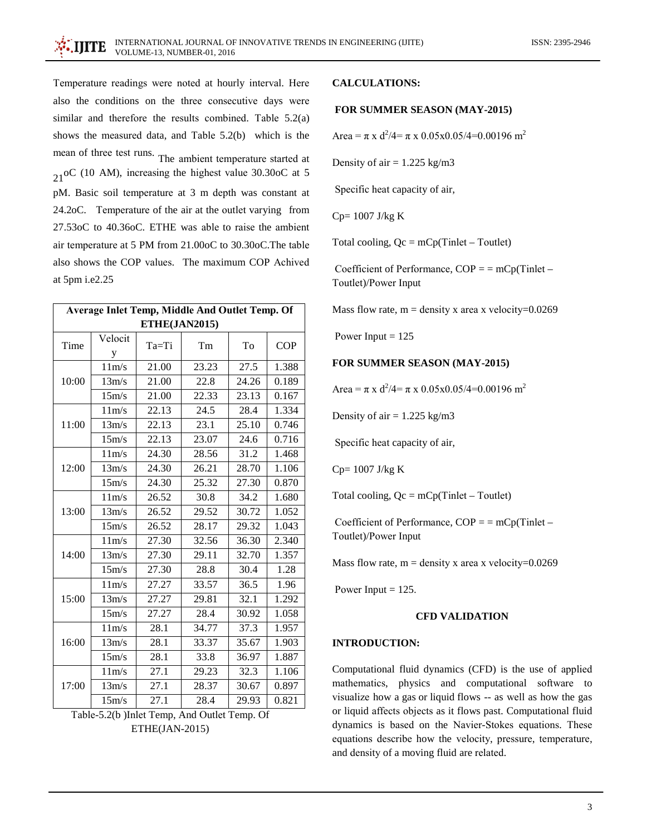Temperature readings were noted at hourly interval. Here also the conditions on the three consecutive days were similar and therefore the results combined. Table  $5.2(a)$ shows the measured data, and Table  $5.2(b)$  which is the mean of three test runs. The ambient temperature started at  $_{21}$ oC (10 AM), increasing the highest value 30.30oC at 5 pM. Basic soil temperature at 3 m depth was constant at 24.2oC. Temperature of the air at the outlet varying from 27.53oC to 40.36oC. ETHE was able to raise the ambient air temperature at 5 PM from 21.00oC to 30.30oC. The table also shows the COP values. The maximum COP Achived at 5pm i.e2.25

| Average Inlet Temp, Middle And Outlet Temp. Of |              |       |       |       |            |  |  |  |
|------------------------------------------------|--------------|-------|-------|-------|------------|--|--|--|
| ETHE(JAN2015)                                  |              |       |       |       |            |  |  |  |
| Time                                           | Velocit<br>y | Ta=Ti | Tm    | To    | <b>COP</b> |  |  |  |
|                                                | 11m/s        | 21.00 | 23.23 | 27.5  | 1.388      |  |  |  |
| 10:00                                          | 13m/s        | 21.00 | 22.8  | 24.26 | 0.189      |  |  |  |
|                                                | 15m/s        | 21.00 | 22.33 | 23.13 | 0.167      |  |  |  |
|                                                | 11m/s        | 22.13 | 24.5  | 28.4  | 1.334      |  |  |  |
| 11:00                                          | 13m/s        | 22.13 | 23.1  | 25.10 | 0.746      |  |  |  |
|                                                | 15m/s        | 22.13 | 23.07 | 24.6  | 0.716      |  |  |  |
|                                                | 11m/s        | 24.30 | 28.56 | 31.2  | 1.468      |  |  |  |
| 12:00                                          | 13m/s        | 24.30 | 26.21 | 28.70 | 1.106      |  |  |  |
|                                                | 15m/s        | 24.30 | 25.32 | 27.30 | 0.870      |  |  |  |
| 13:00                                          | 11m/s        | 26.52 | 30.8  | 34.2  | 1.680      |  |  |  |
|                                                | 13m/s        | 26.52 | 29.52 | 30.72 | 1.052      |  |  |  |
|                                                | 15m/s        | 26.52 | 28.17 | 29.32 | 1.043      |  |  |  |
|                                                | 11m/s        | 27.30 | 32.56 | 36.30 | 2.340      |  |  |  |
| 14:00                                          | 13m/s        | 27.30 | 29.11 | 32.70 | 1.357      |  |  |  |
|                                                | 15m/s        | 27.30 | 28.8  | 30.4  | 1.28       |  |  |  |
|                                                | 11m/s        | 27.27 | 33.57 | 36.5  | 1.96       |  |  |  |
| 15:00                                          | 13m/s        | 27.27 | 29.81 | 32.1  | 1.292      |  |  |  |
|                                                | 15m/s        | 27.27 | 28.4  | 30.92 | 1.058      |  |  |  |
| 16:00                                          | 11m/s        | 28.1  | 34.77 | 37.3  | 1.957      |  |  |  |
|                                                | 13m/s        | 28.1  | 33.37 | 35.67 | 1.903      |  |  |  |
|                                                | 15m/s        | 28.1  | 33.8  | 36.97 | 1.887      |  |  |  |
| 17:00                                          | 11m/s        | 27.1  | 29.23 | 32.3  | 1.106      |  |  |  |
|                                                | 13m/s        | 27.1  | 28.37 | 30.67 | 0.897      |  |  |  |
|                                                | 15m/s        | 27.1  | 28.4  | 29.93 | 0.821      |  |  |  |

Table-5.2(b) Inlet Temp, And Outlet Temp. Of ETHE(JAN-2015)

#### **CALCULATIONS:**

### FOR SUMMER SEASON (MAY-2015)

Area =  $\pi \times d^2/4 = \pi \times 0.05 \times 0.05/4 = 0.00196$  m<sup>2</sup>

Density of air =  $1.225$  kg/m3

Specific heat capacity of air,

 $Cp=1007$  J/kg K

Total cooling,  $Qc = mCp(Tinlet - Toutlet)$ 

Coefficient of Performance,  $COP = mCp(Tinlet -$ Toutlet)/Power Input

Mass flow rate,  $m =$  density x area x velocity=0.0269

Power Input  $= 125$ 

### FOR SUMMER SEASON (MAY-2015)

Area =  $\pi$  x d<sup>2</sup>/4=  $\pi$  x 0.05x0.05/4=0.00196 m<sup>2</sup>

Density of air =  $1.225$  kg/m3

Specific heat capacity of air,

Cp= 1007 J/kg K

Total cooling,  $Oc = mCp(Tinlet - Toutlet)$ 

Coefficient of Performance,  $COP = mCp(Tinlet -$ Toutlet)/Power Input

Mass flow rate,  $m =$  density x area x velocity=0.0269

Power Input  $= 125$ .

#### **CFD VALIDATION**

#### **INTRODUCTION:**

Computational fluid dynamics (CFD) is the use of applied mathematics, physics and computational software to visualize how a gas or liquid flows -- as well as how the gas or liquid affects objects as it flows past. Computational fluid dynamics is based on the Navier-Stokes equations. These equations describe how the velocity, pressure, temperature, and density of a moving fluid are related.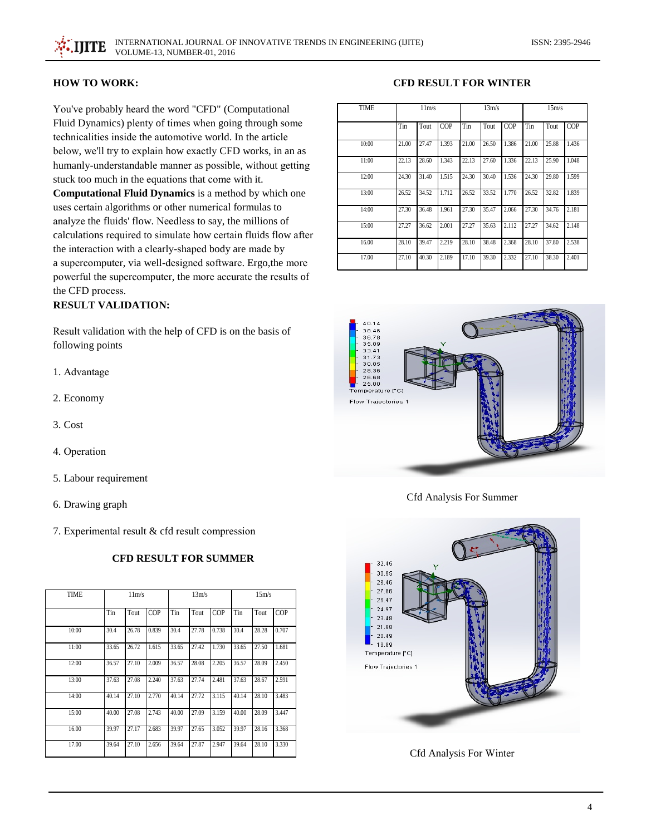#### **HOW TO WORK:**

You've probably heard the word "CFD" (Computational Fluid Dynamics) plenty of times when going through some technicalities inside the automotive world. In the article below, we'll try to explain how exactly CFD works, in an as humanly-understandable manner as possible, without getting stuck too much in the equations that come with it. Computational Fluid Dynamics is a method by which one uses certain algorithms or other numerical formulas to analyze the fluids' flow. Needless to say, the millions of calculations required to simulate how certain fluids flow after the interaction with a clearly-shaped body are made by a supercomputer, via well-designed software. Ergo, the more powerful the supercomputer, the more accurate the results of the CFD process.

## **RESULT VALIDATION:**

Result validation with the help of CFD is on the basis of following points

- 1. Advantage
- 2. Economy
- 3. Cost
- 4. Operation
- 5. Labour requirement
- 6. Drawing graph
- 7. Experimental result & cfd result compression

# **CFD RESULT FOR SUMMER**

| <b>TIME</b> | 11m/s |       |       | 13m/s |       |       | 15m/s |       |            |
|-------------|-------|-------|-------|-------|-------|-------|-------|-------|------------|
|             | Tin   | Tout  | COP   | Tin   | Tout  | COP   | Tin   | Tout  | <b>COP</b> |
| 10:00       | 30.4  | 26.78 | 0.839 | 30.4  | 27.78 | 0.738 | 30.4  | 28.28 | 0.707      |
| 11:00       | 33.65 | 26.72 | 1.615 | 33.65 | 27.42 | 1.730 | 33.65 | 27.50 | 1.681      |
| 12:00       | 36.57 | 27.10 | 2.009 | 36.57 | 28.08 | 2.205 | 36.57 | 28.09 | 2.450      |
| 13:00       | 37.63 | 27.08 | 2.240 | 37.63 | 27.74 | 2.481 | 37.63 | 28.67 | 2.591      |
| 14:00       | 40.14 | 27.10 | 2.770 | 40.14 | 27.72 | 3.115 | 40.14 | 28.10 | 3.483      |
| 15:00       | 40.00 | 27.08 | 2.743 | 40.00 | 27.09 | 3.159 | 40.00 | 28.09 | 3.447      |
| 16.00       | 39.97 | 27.17 | 2.683 | 39.97 | 27.65 | 3.052 | 39.97 | 28.16 | 3.368      |
| 17.00       | 39.64 | 27.10 | 2.656 | 39.64 | 27.87 | 2.947 | 39.64 | 28.10 | 3.330      |

**CFD RESULT FOR WINTER** 

| <b>TIME</b> | 11m/s |       | 13m/s |       |       | 15m/s      |       |       |            |  |
|-------------|-------|-------|-------|-------|-------|------------|-------|-------|------------|--|
|             |       |       |       |       |       |            |       |       |            |  |
|             | Tin   | Tout  | COP   | Tin   | Tout  | <b>COP</b> | Tin   | Tout  | <b>COP</b> |  |
| 10:00       | 21.00 | 27.47 | 1.393 | 21.00 | 26.50 | 1.386      | 21.00 | 25.88 | 1.436      |  |
| 11:00       | 22.13 | 28.60 | 1.343 | 22.13 | 27.60 | 1.336      | 22.13 | 25.90 | 1.048      |  |
| 12:00       | 24.30 | 31.40 | 1.515 | 24.30 | 30.40 | 1.536      | 24.30 | 29.80 | 1.599      |  |
| 13:00       | 26.52 | 34.52 | 1.712 | 26.52 | 33.52 | 1.770      | 26.52 | 32.82 | 1.839      |  |
| 14:00       | 27.30 | 36.48 | 1.961 | 27.30 | 35.47 | 2.066      | 27.30 | 34.76 | 2.181      |  |
| 15:00       | 27.27 | 36.62 | 2.001 | 27.27 | 35.63 | 2.112      | 27.27 | 34.62 | 2.148      |  |
| 16.00       | 28.10 | 39.47 | 2.219 | 28.10 | 38.48 | 2.368      | 28.10 | 37.80 | 2.538      |  |
| 17.00       | 27.10 | 40.30 | 2.189 | 17.10 | 39.30 | 2.332      | 27.10 | 38.30 | 2.401      |  |



Cfd Analysis For Summer